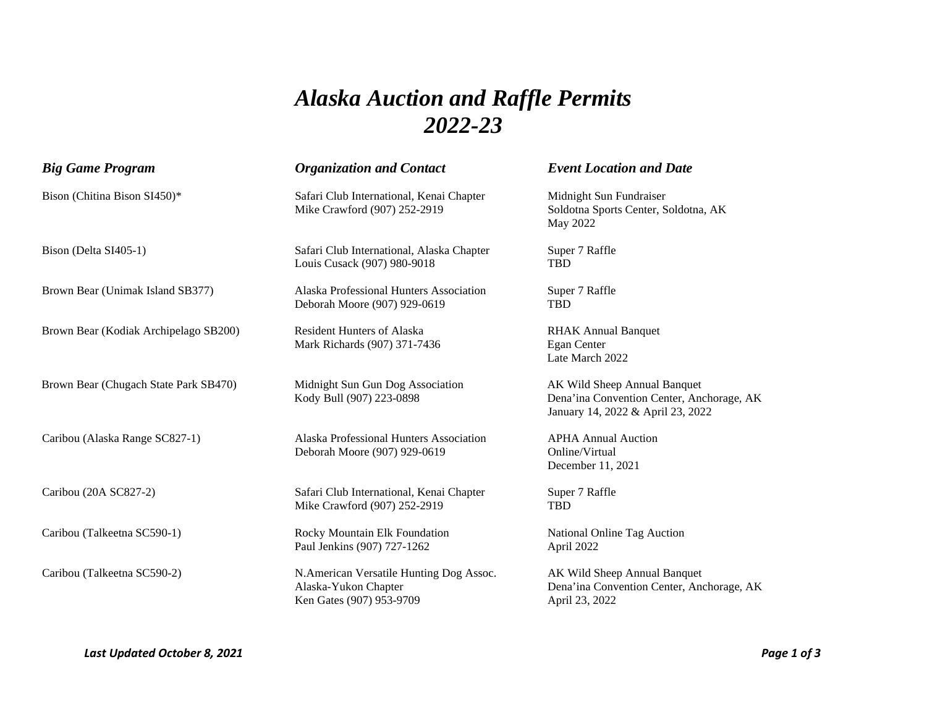## *Alaska Auction and Raffle Permits 2022-23*

| <b>Big Game Program</b>               | <b>Organization and Contact</b>                                                             | <b>Event Location and Date</b>                                                                                 |
|---------------------------------------|---------------------------------------------------------------------------------------------|----------------------------------------------------------------------------------------------------------------|
| Bison (Chitina Bison SI450)*          | Safari Club International, Kenai Chapter<br>Mike Crawford (907) 252-2919                    | Midnight Sun Fundraiser<br>Soldotna Sports Center, Soldotna, AK<br>May 2022                                    |
| Bison (Delta SI405-1)                 | Safari Club International, Alaska Chapter<br>Louis Cusack (907) 980-9018                    | Super 7 Raffle<br>TBD                                                                                          |
| Brown Bear (Unimak Island SB377)      | Alaska Professional Hunters Association<br>Deborah Moore (907) 929-0619                     | Super 7 Raffle<br>TBD                                                                                          |
| Brown Bear (Kodiak Archipelago SB200) | <b>Resident Hunters of Alaska</b><br>Mark Richards (907) 371-7436                           | <b>RHAK Annual Banquet</b><br>Egan Center<br>Late March 2022                                                   |
| Brown Bear (Chugach State Park SB470) | Midnight Sun Gun Dog Association<br>Kody Bull (907) 223-0898                                | AK Wild Sheep Annual Banquet<br>Dena'ina Convention Center, Anchorage, AK<br>January 14, 2022 & April 23, 2022 |
| Caribou (Alaska Range SC827-1)        | Alaska Professional Hunters Association<br>Deborah Moore (907) 929-0619                     | <b>APHA Annual Auction</b><br>Online/Virtual<br>December 11, 2021                                              |
| Caribou (20A SC827-2)                 | Safari Club International, Kenai Chapter<br>Mike Crawford (907) 252-2919                    | Super 7 Raffle<br><b>TBD</b>                                                                                   |
| Caribou (Talkeetna SC590-1)           | Rocky Mountain Elk Foundation<br>Paul Jenkins (907) 727-1262                                | National Online Tag Auction<br>April 2022                                                                      |
| Caribou (Talkeetna SC590-2)           | N.American Versatile Hunting Dog Assoc.<br>Alaska-Yukon Chapter<br>Ken Gates (907) 953-9709 | AK Wild Sheep Annual Banquet<br>Dena'ina Convention Center, Anchorage, AK<br>April 23, 2022                    |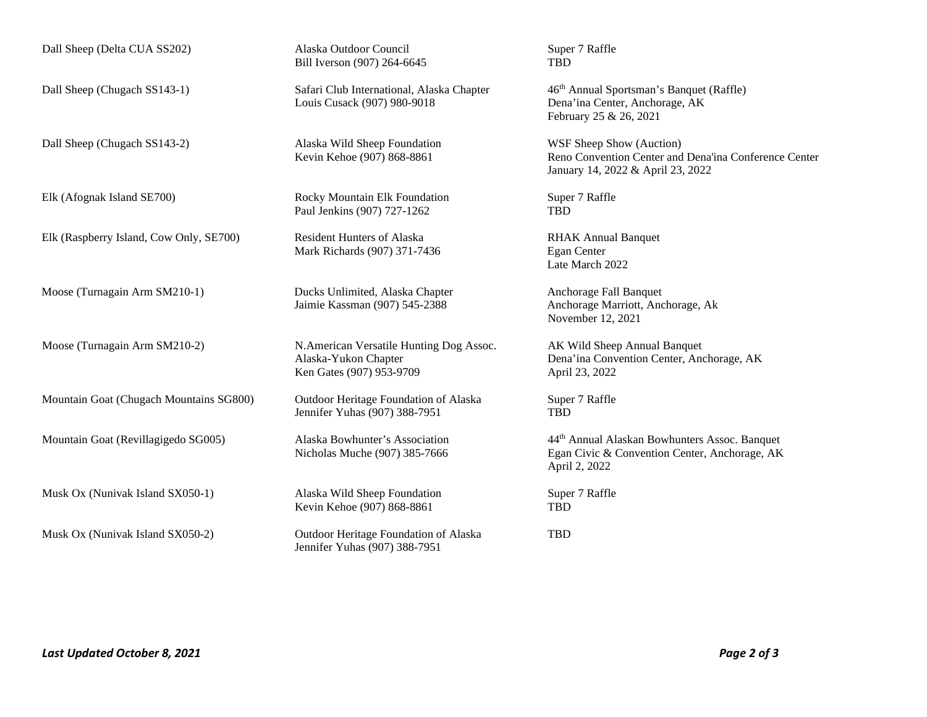Dall Sheep (Delta CUA SS202) Alaska Outdoor Council Super 7 Raffle

Elk (Raspberry Island, Cow Only, SE700) Resident Hunters of Alaska RHAK Annual Banquet

Mountain Goat (Chugach Mountains SG800) Outdoor Heritage Foundation of Alaska Super 7 Raffle

Musk Ox (Nunivak Island SX050-1) Alaska Wild Sheep Foundation Super 7 Raffle

Bill Iverson (907) 264-6645 TBD

Louis Cusack (907) 980-9018 Dena'ina Center, Anchorage, AK

Dall Sheep (Chugach SS143-2) Alaska Wild Sheep Foundation WSF Sheep Show (Auction)<br>Kevin Kehoe (907) 868-8861 Reno Convention Center and

Elk (Afognak Island SE700) Rocky Mountain Elk Foundation Super 7 Raffle Paul Jenkins (907) 727-1262 TBD

Mark Richards (907) 371-7436 Egan Center

Moose (Turnagain Arm SM210-1) Ducks Unlimited, Alaska Chapter Anchorage Fall Banquet

Moose (Turnagain Arm SM210-2) N.American Versatile Hunting Dog Assoc. AK Wild Sheep Annual Banquet Ken Gates (907) 953-9709 April 23, 2022

Jennifer Yuhas (907) 388-7951 TBD

Kevin Kehoe (907) 868-8861 TBD

Musk Ox (Nunivak Island SX050-2) Outdoor Heritage Foundation of Alaska TBD Jennifer Yuhas (907) 388-7951

Dall Sheep (Chugach SS143-1) Safari Club International, Alaska Chapter 46<sup>th</sup> Annual Sportsman's Banquet (Raffle) February 25 & 26, 2021

> Reno Convention Center and Dena'ina Conference Center January 14, 2022 & April 23, 2022

Late March 2022

 Jaimie Kassman (907) 545-2388 Anchorage Marriott, Anchorage, Ak November 12, 2021

Alaska-Yukon Chapter Dena'ina Convention Center, Anchorage, AK

Mountain Goat (Revillagigedo SG005) Alaska Bowhunter's Association 44th Annual Alaskan Bowhunters Assoc. Banquet Nicholas Muche (907) 385-7666 Egan Civic & Convention Center, Anchorage, AK April 2, 2022